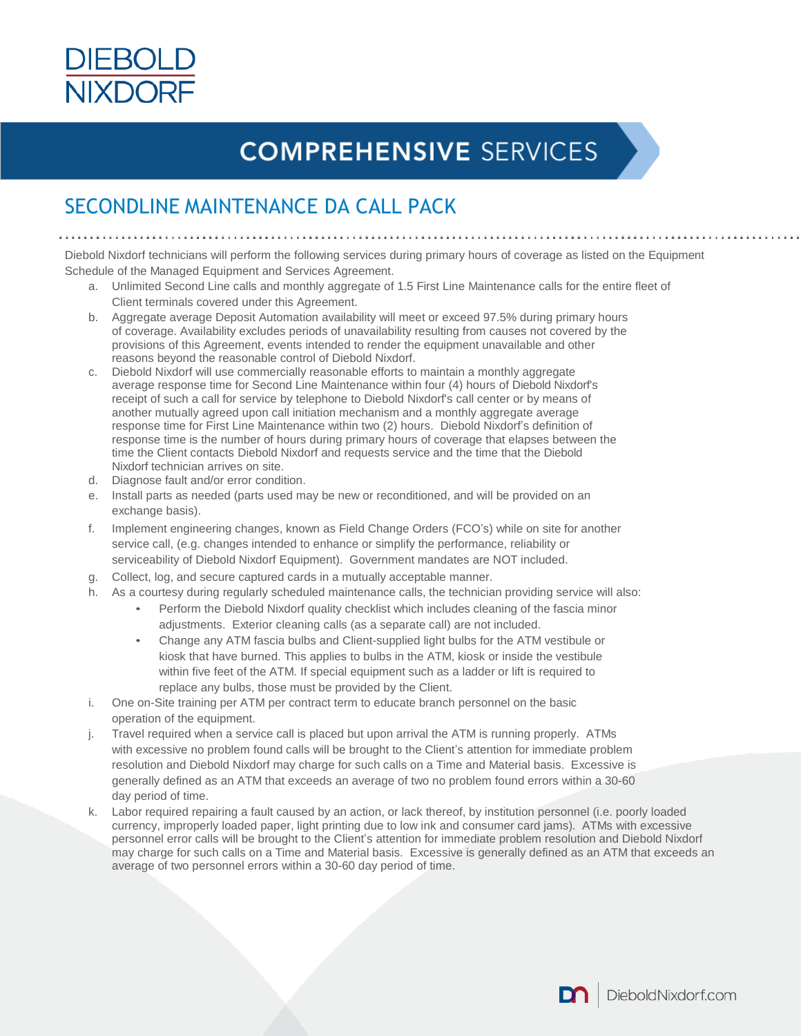

# **COMPREHENSIVE SERVICES**

### SECONDLINE MAINTENANCE DA CALL PACK

Diebold Nixdorf technicians will perform the following services during primary hours of coverage as listed on the Equipment Schedule of the Managed Equipment and Services Agreement.

- Unlimited Second Line calls and monthly aggregate of 1.5 First Line Maintenance calls for the entire fleet of Client terminals covered under this Agreement.
- b. Aggregate average Deposit Automation availability will meet or exceed 97.5% during primary hours of coverage. Availability excludes periods of unavailability resulting from causes not covered by the provisions of this Agreement, events intended to render the equipment unavailable and other reasons beyond the reasonable control of Diebold Nixdorf.
- c. Diebold Nixdorf will use commercially reasonable efforts to maintain a monthly aggregate average response time for Second Line Maintenance within four (4) hours of Diebold Nixdorf's receipt of such a call for service by telephone to Diebold Nixdorf's call center or by means of another mutually agreed upon call initiation mechanism and a monthly aggregate average response time for First Line Maintenance within two (2) hours. Diebold Nixdorf's definition of response time is the number of hours during primary hours of coverage that elapses between the time the Client contacts Diebold Nixdorf and requests service and the time that the Diebold Nixdorf technician arrives on site.
- d. Diagnose fault and/or error condition.
- e. Install parts as needed (parts used may be new or reconditioned, and will be provided on an exchange basis).
- f. Implement engineering changes, known as Field Change Orders (FCO's) while on site for another service call, (e.g. changes intended to enhance or simplify the performance, reliability or serviceability of Diebold Nixdorf Equipment). Government mandates are NOT included.
- g. Collect, log, and secure captured cards in a mutually acceptable manner.
- h. As a courtesy during regularly scheduled maintenance calls, the technician providing service will also:
	- Perform the Diebold Nixdorf quality checklist which includes cleaning of the fascia minor adjustments. Exterior cleaning calls (as a separate call) are not included.
	- Change any ATM fascia bulbs and Client-supplied light bulbs for the ATM vestibule or kiosk that have burned. This applies to bulbs in the ATM, kiosk or inside the vestibule within five feet of the ATM. If special equipment such as a ladder or lift is required to replace any bulbs, those must be provided by the Client.
- i. One on-Site training per ATM per contract term to educate branch personnel on the basic operation of the equipment.
- j. Travel required when a service call is placed but upon arrival the ATM is running properly. ATMs with excessive no problem found calls will be brought to the Client's attention for immediate problem resolution and Diebold Nixdorf may charge for such calls on a Time and Material basis. Excessive is generally defined as an ATM that exceeds an average of two no problem found errors within a 30-60 day period of time.
- k. Labor required repairing a fault caused by an action, or lack thereof, by institution personnel (i.e. poorly loaded currency, improperly loaded paper, light printing due to low ink and consumer card jams). ATMs with excessive personnel error calls will be brought to the Client's attention for immediate problem resolution and Diebold Nixdorf may charge for such calls on a Time and Material basis. Excessive is generally defined as an ATM that exceeds an average of two personnel errors within a 30-60 day period of time.